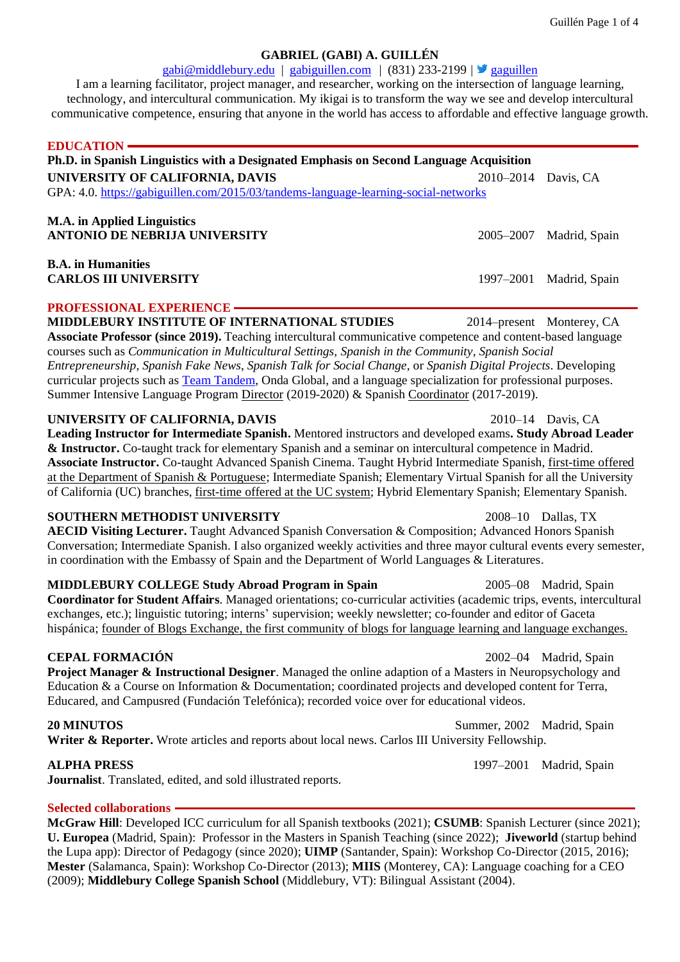### **GABRIEL (GABI) A. GUILLÉN**

### [gabi@middlebury.edu](mailto:gabi@middlebury.edu) | [gabiguillen.com](http://www.gabiguillen.com/) | (831) 233-2199 |  $\bullet$  [gaguillen](https://twitter.com/gaguillen)

I am a learning facilitator, project manager, and researcher, working on the intersection of language learning, technology, and intercultural communication. My ikigai is to transform the way we see and develop intercultural communicative competence, ensuring that anyone in the world has access to affordable and effective language growth.

| <b>EDUCATION-</b>                                                                                                                                                                                                                                                                                                                                                                                                                                                                                                                                                                                                                                                  |           |                         |
|--------------------------------------------------------------------------------------------------------------------------------------------------------------------------------------------------------------------------------------------------------------------------------------------------------------------------------------------------------------------------------------------------------------------------------------------------------------------------------------------------------------------------------------------------------------------------------------------------------------------------------------------------------------------|-----------|-------------------------|
| Ph.D. in Spanish Linguistics with a Designated Emphasis on Second Language Acquisition                                                                                                                                                                                                                                                                                                                                                                                                                                                                                                                                                                             |           |                         |
| UNIVERSITY OF CALIFORNIA, DAVIS<br>GPA: 4.0. https://gabiguillen.com/2015/03/tandems-language-learning-social-networks                                                                                                                                                                                                                                                                                                                                                                                                                                                                                                                                             | 2010-2014 | Davis, CA               |
| <b>M.A.</b> in Applied Linguistics                                                                                                                                                                                                                                                                                                                                                                                                                                                                                                                                                                                                                                 |           |                         |
| <b>ANTONIO DE NEBRIJA UNIVERSITY</b>                                                                                                                                                                                                                                                                                                                                                                                                                                                                                                                                                                                                                               |           | 2005-2007 Madrid, Spain |
| <b>B.A.</b> in Humanities<br><b>CARLOS III UNIVERSITY</b>                                                                                                                                                                                                                                                                                                                                                                                                                                                                                                                                                                                                          | 1997-2001 | Madrid, Spain           |
| <b>PROFESSIONAL EXPERIENCE -</b><br>MIDDLEBURY INSTITUTE OF INTERNATIONAL STUDIES<br>2014–present Monterey, CA<br>Associate Professor (since 2019). Teaching intercultural communicative competence and content-based language<br>courses such as Communication in Multicultural Settings, Spanish in the Community, Spanish Social<br>Entrepreneurship, Spanish Fake News, Spanish Talk for Social Change, or Spanish Digital Projects. Developing<br>curricular projects such as Team Tandem, Onda Global, and a language specialization for professional purposes.<br>Summer Intensive Language Program Director (2019-2020) & Spanish Coordinator (2017-2019). |           |                         |
| UNIVERSITY OF CALIFORNIA, DAVIS<br>2010–14 Davis, CA<br>Leading Instructor for Intermediate Spanish. Mentored instructors and developed exams. Study Abroad Leader<br>& Instructor. Co-taught track for elementary Spanish and a seminar on intercultural competence in Madrid.<br>Associate Instructor. Co-taught Advanced Spanish Cinema. Taught Hybrid Intermediate Spanish, first-time offered<br>at the Department of Spanish & Portuguese; Intermediate Spanish; Elementary Virtual Spanish for all the University<br>of California (UC) branches, first-time offered at the UC system; Hybrid Elementary Spanish; Elementary Spanish.                       |           |                         |
| <b>SOUTHERN METHODIST UNIVERSITY</b><br>AECID Visiting Lecturer. Taught Advanced Spanish Conversation & Composition; Advanced Honors Spanish<br>Conversation; Intermediate Spanish. I also organized weekly activities and three mayor cultural events every semester,<br>in coordination with the Embassy of Spain and the Department of World Languages & Literatures.                                                                                                                                                                                                                                                                                           |           | 2008-10 Dallas, TX      |
| <b>MIDDLEBURY COLLEGE Study Abroad Program in Spain</b><br>Coordinator for Student Affairs. Managed orientations; co-curricular activities (academic trips, events, intercultural<br>exchanges, etc.); linguistic tutoring; interns' supervision; weekly newsletter; co-founder and editor of Gaceta<br>hispánica; founder of Blogs Exchange, the first community of blogs for language learning and language exchanges.                                                                                                                                                                                                                                           |           | 2005-08 Madrid, Spain   |
| <b>CEPAL FORMACIÓN</b><br>Project Manager & Instructional Designer. Managed the online adaption of a Masters in Neuropsychology and<br>Education & a Course on Information & Documentation; coordinated projects and developed content for Terra,<br>Educared, and Campusred (Fundación Telefónica); recorded voice over for educational videos.                                                                                                                                                                                                                                                                                                                   |           | 2002-04 Madrid, Spain   |

**20 MINUTOS** Summer, 2002 Madrid, Spain Writer & Reporter. Wrote articles and reports about local news. Carlos III University Fellowship.

#### **ALPHA PRESS** 1997–2001 Madrid, Spain

**Journalist**. Translated, edited, and sold illustrated reports.

**Selected collaborations McGraw Hill**: Developed ICC curriculum for all Spanish textbooks (2021); **CSUMB**: Spanish Lecturer (since 2021); **U. Europea** (Madrid, Spain): Professor in the Masters in Spanish Teaching (since 2022); **Jiveworld** (startup behind the Lupa app): Director of Pedagogy (since 2020); **UIMP** (Santander, Spain): Workshop Co-Director (2015, 2016); **Mester** (Salamanca, Spain): Workshop Co-Director (2013); **MIIS** (Monterey, CA): Language coaching for a CEO (2009); **Middlebury College Spanish School** (Middlebury, VT): Bilingual Assistant (2004).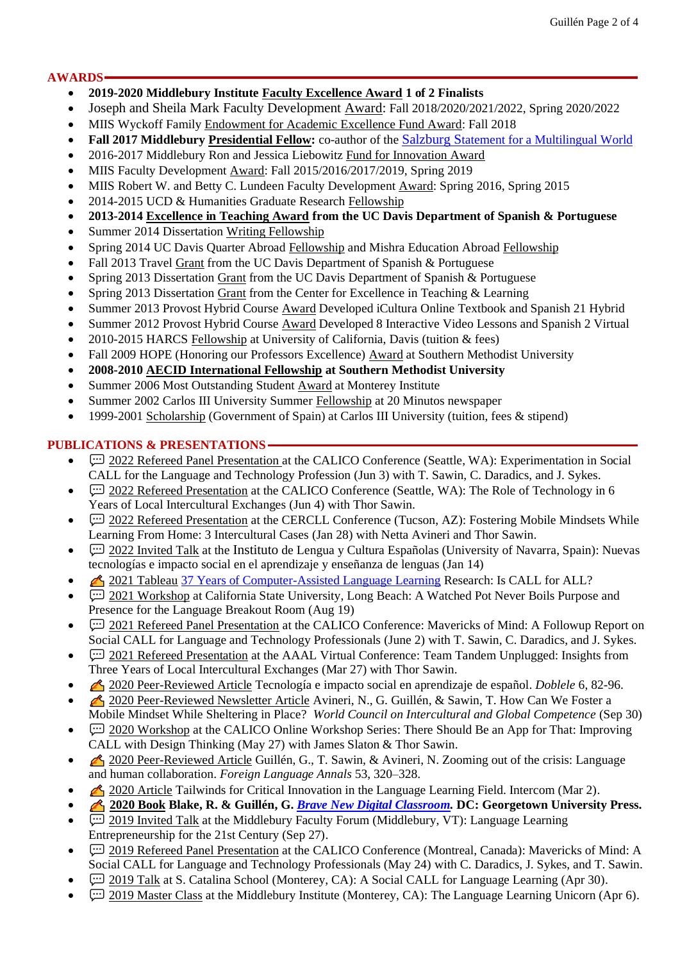### **AWARDS**

- **2019-2020 Middlebury Institute Faculty Excellence Award 1 of 2 Finalists**
- Joseph and Sheila Mark Faculty Development Award: Fall 2018/2020/2021/2022, Spring 2020/2022
- MIIS Wyckoff Family Endowment for Academic Excellence Fund Award: Fall 2018
- **Fall 2017 Middlebury Presidential Fellow:** co-author of the Salzburg S[tatement for a Multilingual World](https://www.salzburgglobal.org/fileadmin/user_upload/Documents/2010-2019/2017/Session_586/EN_SalzburgGlobal_Statement_586_-_Multilingual_World_English.pdf)
- 2016-2017 Middlebury Ron and Jessica Liebowitz Fund for Innovation Award
- MIIS Faculty Development Award: Fall 2015/2016/2017/2019, Spring 2019
- MIIS Robert W. and Betty C. Lundeen Faculty Development Award: Spring 2016, Spring 2015
- 2014-2015 UCD & Humanities Graduate Research Fellowship
- **2013-2014 Excellence in Teaching Award from the UC Davis Department of Spanish & Portuguese**
- Summer 2014 Dissertation Writing Fellowship
- Spring 2014 UC Davis Quarter Abroad Fellowship and Mishra Education Abroad Fellowship
- Fall 2013 Travel Grant from the UC Davis Department of Spanish & Portuguese
- Spring 2013 Dissertation Grant from the UC Davis Department of Spanish & Portuguese
- Spring 2013 Dissertation Grant from the Center for Excellence in Teaching & Learning
- Summer 2013 Provost Hybrid Course Award Developed iCultura Online Textbook and Spanish 21 Hybrid
- Summer 2012 Provost Hybrid Course Award Developed 8 Interactive Video Lessons and Spanish 2 Virtual
- 2010-2015 HARCS Fellowship at University of California, Davis (tuition & fees)
- Fall 2009 HOPE (Honoring our Professors Excellence) Award at Southern Methodist University
- **2008-2010 AECID International Fellowship at Southern Methodist University**
- Summer 2006 Most Outstanding Student Award at Monterey Institute
- Summer 2002 Carlos III University Summer Fellowship at 20 Minutos newspaper
- 1999-2001 Scholarship (Government of Spain) at Carlos III University (tuition, fees & stipend)

# **PUBLICATIONS & PRESENTATIONS**

- $\Box$  2022 Refereed Panel Presentation at the CALICO Conference (Seattle, WA): Experimentation in Social CALL for the Language and Technology Profession (Jun 3) with T. Sawin, C. Daradics, and J. Sykes.
- $\Box$  2022 Refereed Presentation at the CALICO Conference (Seattle, WA): The Role of Technology in 6 Years of Local Intercultural Exchanges (Jun 4) with Thor Sawin.
- $\Box$  2022 Refereed Presentation at the CERCLL Conference (Tucson, AZ): Fostering Mobile Mindsets While Learning From Home: 3 Intercultural Cases (Jan 28) with Netta Avineri and Thor Sawin.
- $\Box$  2022 Invited Talk at the Instituto de Lengua y Cultura Españolas (University of Navarra, Spain): Nuevas tecnologías e impacto social en el aprendizaje y enseñanza de lenguas (Jan 14)
- <sup>2</sup> 2021 Tableau [37 Years of Computer-Assisted Language Learning](https://www.gaguillen.com/2021/06/37-years-of-call/) Research: Is CALL for ALL?
- $\overline{\mathbb{Q}}$  2021 Workshop at California State University, Long Beach: A Watched Pot Never Boils Purpose and Presence for the Language Breakout Room (Aug 19)
- 2021 Refereed Panel Presentation at the CALICO Conference: Mavericks of Mind: A Followup Report on Social CALL for Language and Technology Professionals (June 2) with T. Sawin, C. Daradics, and J. Sykes.
- $\Box$  2021 Refereed Presentation at the AAAL Virtual Conference: Team Tandem Unplugged: Insights from Three Years of Local Intercultural Exchanges (Mar 27) with Thor Sawin.
- 2020 Peer-Reviewed Article Tecnología e impacto social en aprendizaje de español. *Doblele* 6, 82-96.
- <sup>2</sup>/<sub>2</sub> 2020 Peer-Reviewed Newsletter Article Avineri, N., G. Guillén, & Sawin, T. How Can We Foster a Mobile Mindset While Sheltering in Place? *World Council on Intercultural and Global Competence* (Sep 30)
- $\Box$  2020 Workshop at the CALICO Online Workshop Series: There Should Be an App for That: Improving CALL with Design Thinking (May 27) with James Slaton & Thor Sawin.
- $\triangle$  2020 Peer-Reviewed Article Guillén, G., T. Sawin, & Avineri, N. Zooming out of the crisis: Language and human collaboration. *Foreign Language Annals* 53, 320–328.
- <sup>2</sup>/<sub>2020</sub> Article Tailwinds for Critical Innovation in the Language Learning Field. Intercom (Mar 2).
- **2020 Book Blake, R. & Guillén, G.** *[Brave New Digital Classroom.](http://press.georgetown.edu/book/languages/brave-new-digital-classroom-0)* **DC: Georgetown University Press.**
- 2019 Invited Talk at the Middlebury Faculty Forum (Middlebury, VT): Language Learning Entrepreneurship for the 21st Century (Sep 27).
- $\Box$  2019 Refereed Panel Presentation at the CALICO Conference (Montreal, Canada): Mavericks of Mind: A Social CALL for Language and Technology Professionals (May 24) with C. Daradics, J. Sykes, and T. Sawin.
- 2019 Talk at S. Catalina School (Monterey, CA): A Social CALL for Language Learning (Apr 30).
- 2019 Master Class at the Middlebury Institute (Monterey, CA): The Language Learning Unicorn (Apr 6).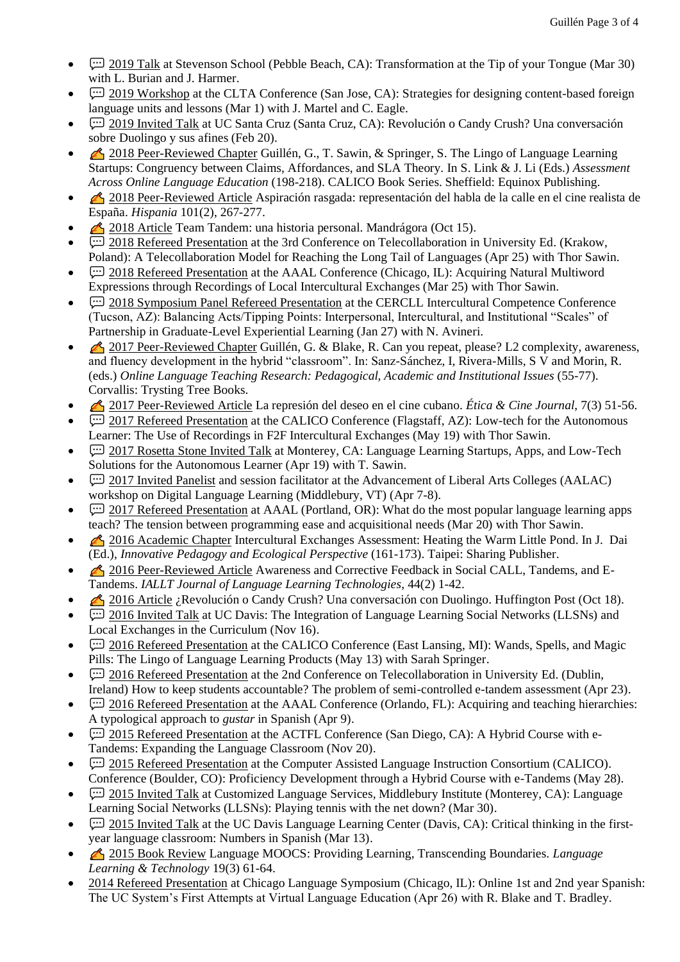- $\Box$  2019 Talk at Stevenson School (Pebble Beach, CA): Transformation at the Tip of your Tongue (Mar 30) with L. Burian and J. Harmer.
- $\Box$  2019 Workshop at the CLTA Conference (San Jose, CA): Strategies for designing content-based foreign language units and lessons (Mar 1) with J. Martel and C. Eagle.
- $\Box$  2019 Invited Talk at UC Santa Cruz (Santa Cruz, CA): Revolución o Candy Crush? Una conversación sobre Duolingo y sus afines (Feb 20).
- <sup>2</sup>/<sub>2018</sub> Peer-Reviewed Chapter Guillén, G., T. Sawin, & Springer, S. The Lingo of Language Learning Startups: Congruency between Claims, Affordances, and SLA Theory. In S. Link & J. Li (Eds.) *Assessment Across Online Language Education* (198-218). CALICO Book Series. Sheffield: Equinox Publishing.
- 2018 Peer-Reviewed Article Aspiración rasgada: representación del habla de la calle en el cine realista de España. *Hispania* 101(2), 267-277.
- 2018 Article Team Tandem: una historia personal. Mandrágora (Oct 15).
- 2018 Refereed Presentation at the 3rd Conference on Telecollaboration in University Ed. (Krakow, Poland): A Telecollaboration Model for Reaching the Long Tail of Languages (Apr 25) with Thor Sawin.
- 2018 Refereed Presentation at the AAAL Conference (Chicago, IL): Acquiring Natural Multiword Expressions through Recordings of Local Intercultural Exchanges (Mar 25) with Thor Sawin.
- $\Box$  2018 Symposium Panel Refereed Presentation at the CERCLL Intercultural Competence Conference (Tucson, AZ): Balancing Acts/Tipping Points: Interpersonal, Intercultural, and Institutional "Scales" of Partnership in Graduate-Level Experiential Learning (Jan 27) with N. Avineri.
- 2017 Peer-Reviewed Chapter Guillén, G. & Blake, R. Can you repeat, please? L2 complexity, awareness, and fluency development in the hybrid "classroom". In: Sanz-Sánchez, I, Rivera-Mills, S V and Morin, R. (eds.) *Online Language Teaching Research: Pedagogical, Academic and Institutional Issues* (55-77). Corvallis: Trysting Tree Books.
- 2017 Peer-Reviewed Article La represión del deseo en el cine cubano. *Ética & Cine Journal*, 7(3) 51-56.
- <sup>1</sup><sup>2017</sup> Refereed Presentation at the CALICO Conference (Flagstaff, AZ): Low-tech for the Autonomous Learner: The Use of Recordings in F2F Intercultural Exchanges (May 19) with Thor Sawin.
- $\Box$  2017 Rosetta Stone Invited Talk at Monterey, CA: Language Learning Startups, Apps, and Low-Tech Solutions for the Autonomous Learner (Apr 19) with T. Sawin.
- $\Box$  2017 Invited Panelist and session facilitator at the Advancement of Liberal Arts Colleges (AALAC) workshop on Digital Language Learning (Middlebury, VT) (Apr 7-8).
- 2017 Refereed Presentation at AAAL (Portland, OR): What do the most popular language learning apps teach? The tension between programming ease and acquisitional needs (Mar 20) with Thor Sawin.
- $\triangle$  2016 Academic Chapter Intercultural Exchanges Assessment: Heating the Warm Little Pond. In J. Dai (Ed.), *Innovative Pedagogy and Ecological Perspective* (161-173). Taipei: Sharing Publisher.
- 2016 Peer-Reviewed Article Awareness and Corrective Feedback in Social CALL, Tandems, and E-Tandems. *IALLT Journal of Language Learning Technologies*, 44(2) 1-42.
- <sup>2016</sup> Article ¿Revolución o Candy Crush? Una conversación con Duolingo. Huffington Post (Oct 18).
- 2016 Invited Talk at UC Davis: The Integration of Language Learning Social Networks (LLSNs) and Local Exchanges in the Curriculum (Nov 16).
- $\Box$  2016 Refereed Presentation at the CALICO Conference (East Lansing, MI): Wands, Spells, and Magic Pills: The Lingo of Language Learning Products (May 13) with Sarah Springer.
- $\Box$  2016 Refereed Presentation at the 2nd Conference on Telecollaboration in University Ed. (Dublin, Ireland) How to keep students accountable? The problem of semi-controlled e-tandem assessment (Apr 23).
- $\Box$  2016 Refereed Presentation at the AAAL Conference (Orlando, FL): Acquiring and teaching hierarchies: A typological approach to *gustar* in Spanish (Apr 9).
- $\Box$  2015 Refereed Presentation at the ACTFL Conference (San Diego, CA): A Hybrid Course with e-Tandems: Expanding the Language Classroom (Nov 20).
- $\Box$  2015 Refereed Presentation at the Computer Assisted Language Instruction Consortium (CALICO). Conference (Boulder, CO): Proficiency Development through a Hybrid Course with e-Tandems (May 28).
- $\Box$  2015 Invited Talk at Customized Language Services, Middlebury Institute (Monterey, CA): Language Learning Social Networks (LLSNs): Playing tennis with the net down? (Mar 30).
- $\Box$  2015 Invited Talk at the UC Davis Language Learning Center (Davis, CA): Critical thinking in the firstyear language classroom: Numbers in Spanish (Mar 13).
- 2015 Book Review Language MOOCS: Providing Learning, Transcending Boundaries*. Language Learning & Technology* 19(3) 61-64.
- 2014 Refereed Presentation at Chicago Language Symposium (Chicago, IL): Online 1st and 2nd year Spanish: The UC System's First Attempts at Virtual Language Education (Apr 26) with R. Blake and T. Bradley.